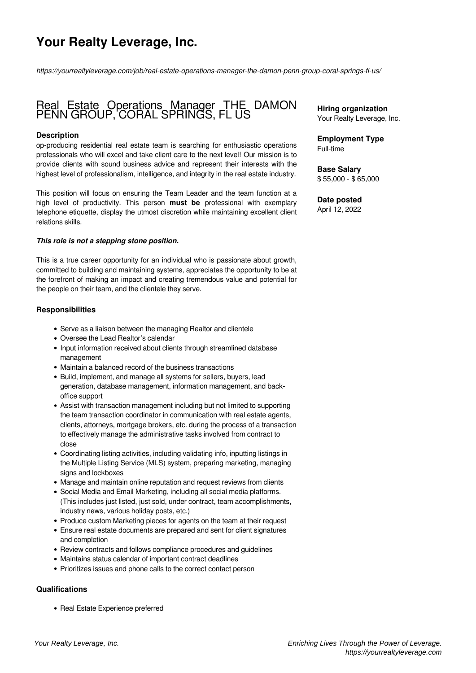# **Your Realty Leverage, Inc.**

*https://yourrealtyleverage.com/job/real-estate-operations-manager-the-damon-penn-group-coral-springs-fl-us/*

## Real Estate Operations Manager THE DAMON PENN GROUP, CORAL SPRINGS, FL US

#### **Description**

op-producing residential real estate team is searching for enthusiastic operations professionals who will excel and take client care to the next level! Our mission is to provide clients with sound business advice and represent their interests with the highest level of professionalism, intelligence, and integrity in the real estate industry.

This position will focus on ensuring the Team Leader and the team function at a high level of productivity. This person **must be** professional with exemplary telephone etiquette, display the utmost discretion while maintaining excellent client relations skills.

#### *This role is not a stepping stone position.*

This is a true career opportunity for an individual who is passionate about growth, committed to building and maintaining systems, appreciates the opportunity to be at the forefront of making an impact and creating tremendous value and potential for the people on their team, and the clientele they serve.

#### **Responsibilities**

- Serve as a liaison between the managing Realtor and clientele
- Oversee the Lead Realtor's calendar
- Input information received about clients through streamlined database management
- Maintain a balanced record of the business transactions
- Build, implement, and manage all systems for sellers, buyers, lead generation, database management, information management, and backoffice support
- Assist with transaction management including but not limited to supporting the team transaction coordinator in communication with real estate agents, clients, attorneys, mortgage brokers, etc. during the process of a transaction to effectively manage the administrative tasks involved from contract to close
- Coordinating listing activities, including validating info, inputting listings in the Multiple Listing Service (MLS) system, preparing marketing, managing signs and lockboxes
- Manage and maintain online reputation and request reviews from clients
- Social Media and Email Marketing, including all social media platforms. (This includes just listed, just sold, under contract, team accomplishments, industry news, various holiday posts, etc.)
- Produce custom Marketing pieces for agents on the team at their request
- Ensure real estate documents are prepared and sent for client signatures and completion
- Review contracts and follows compliance procedures and guidelines
- Maintains status calendar of important contract deadlines
- Prioritizes issues and phone calls to the correct contact person

#### **Qualifications**

• Real Estate Experience preferred

**Hiring organization** Your Realty Leverage, Inc.

**Employment Type** Full-time

**Base Salary** \$ 55,000 - \$ 65,000

#### **Date posted** April 12, 2022